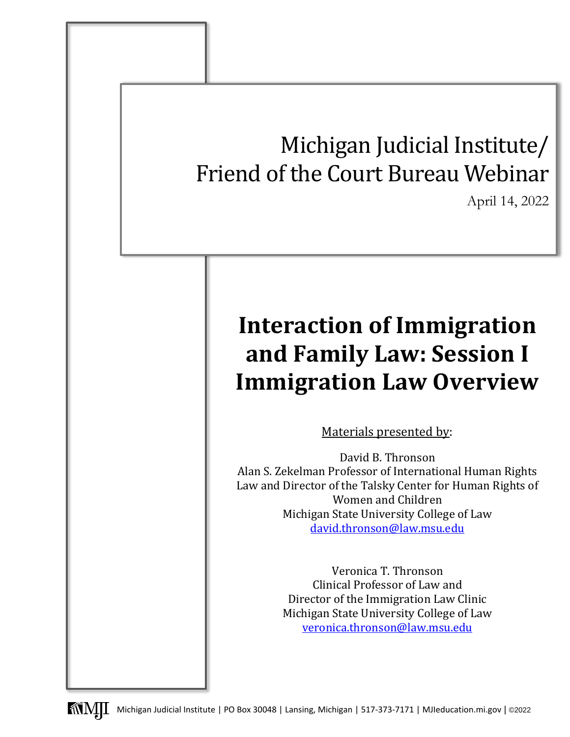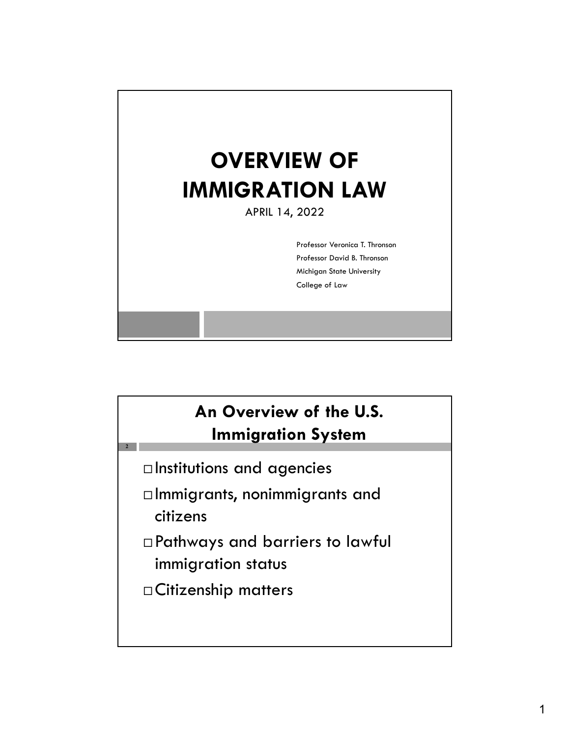

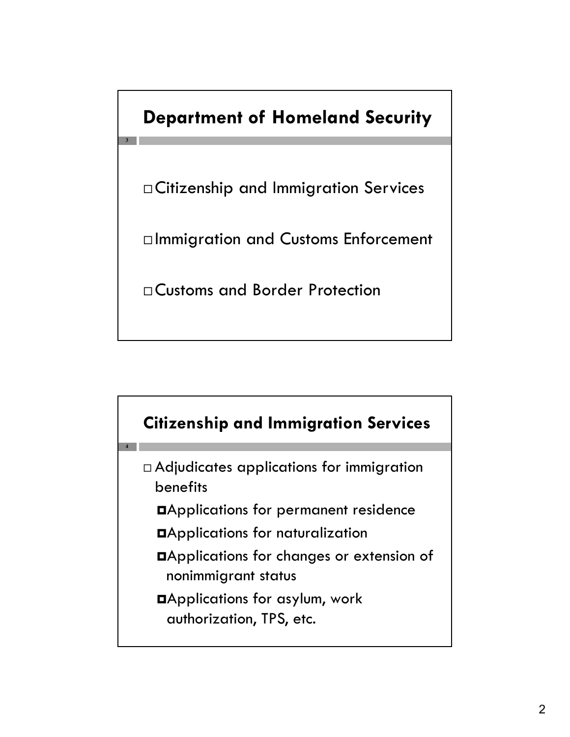### **Department of Homeland Security**

**3**

Citizenship and Immigration Services

Immigration and Customs Enforcement

Customs and Border Protection

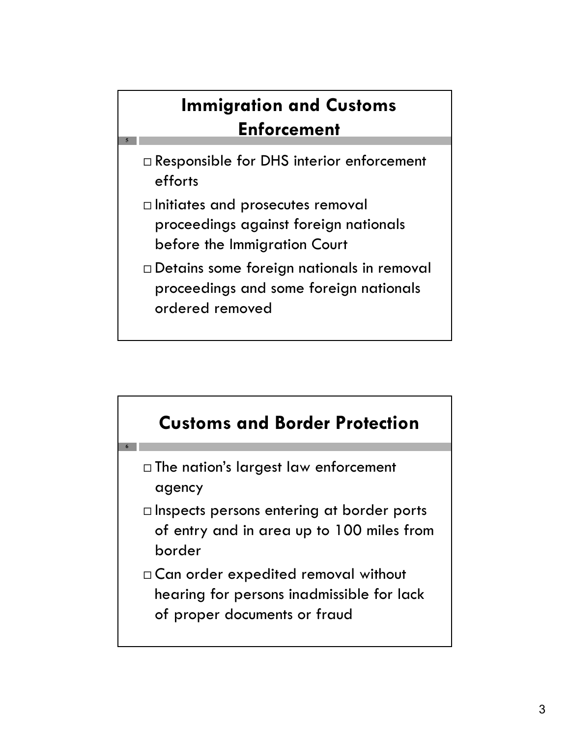# **Immigration and Customs Enforcement**

 Responsible for DHS interior enforcement efforts

**5**

- $\Box$  Initiates and prosecutes removal proceedings against foreign nationals before the Immigration Court
- Detains some foreign nationals in removal proceedings and some foreign nationals ordered removed

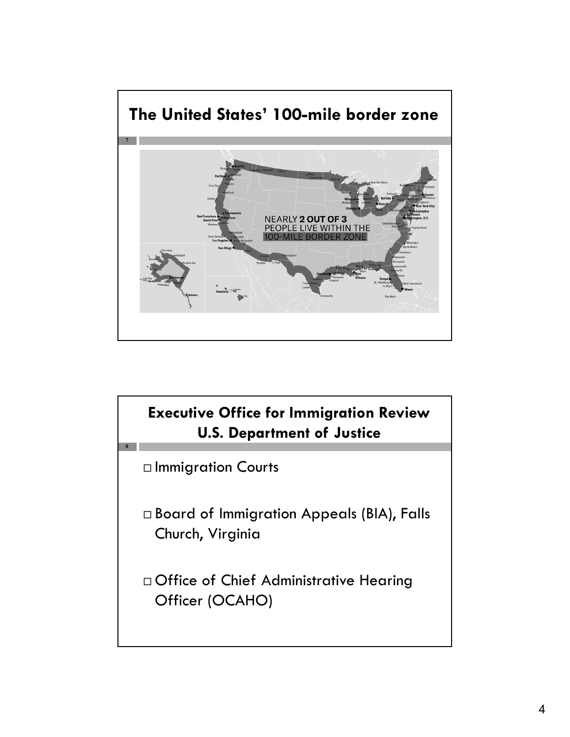

**Executive Office for Immigration Review U.S. Department of Justice**

 $\square$  Immigration Courts

**8**

 Board of Immigration Appeals (BIA), Falls Church, Virginia

 Office of Chief Administrative Hearing Officer (OCAHO)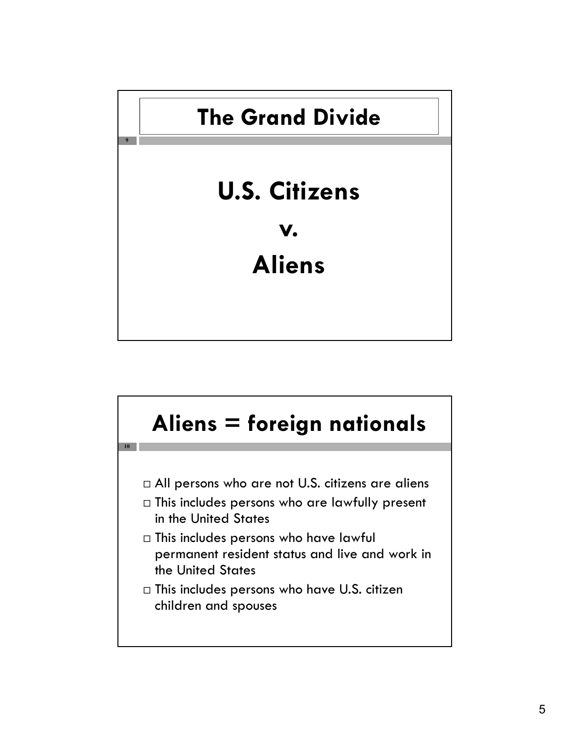

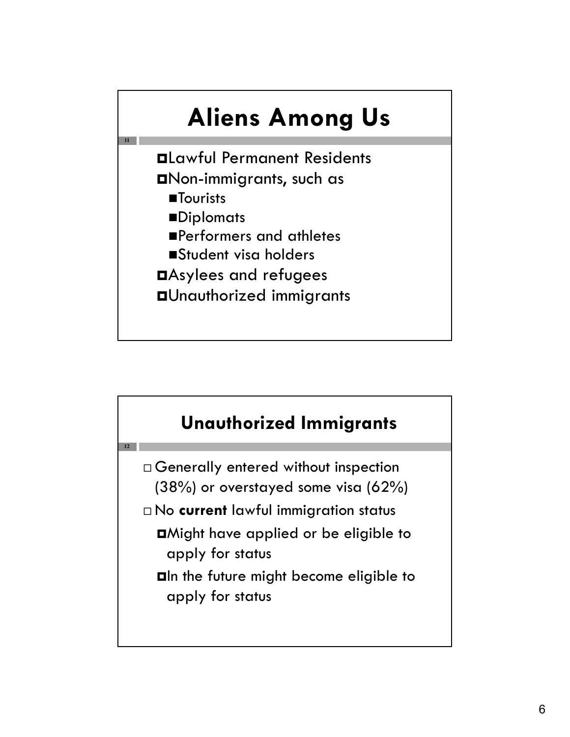

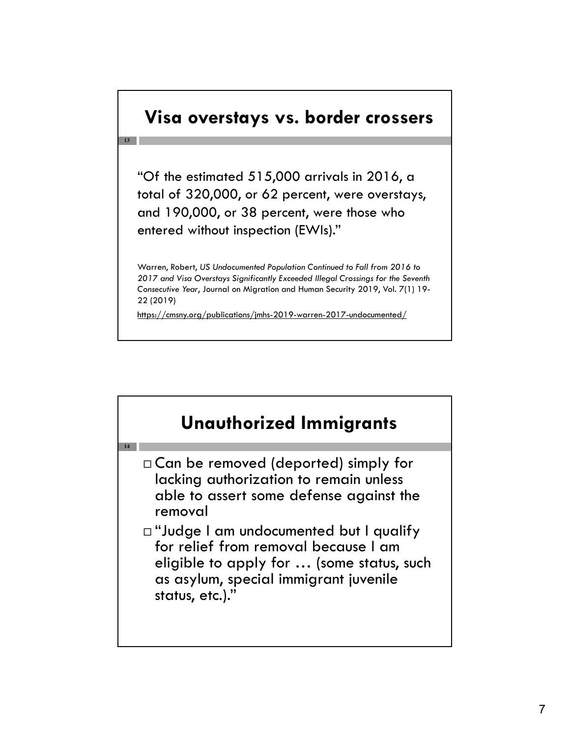#### **Visa overstays vs. border crossers**

**13**

"Of the estimated 515,000 arrivals in 2016, a total of 320,000, or 62 percent, were overstays, and 190,000, or 38 percent, were those who entered without inspection (EWIs)."

Warren, Robert, *US Undocumented Population Continued to Fall from 2016 to 2017 and Visa Overstays Significantly Exceeded Illegal Crossings for the Seventh Consecutive Year*, Journal on Migration and Human Security 2019, Vol. 7(1) 19- 22 (2019)

https://cmsny.org/publications/jmhs-2019-warren-2017-undocumented/

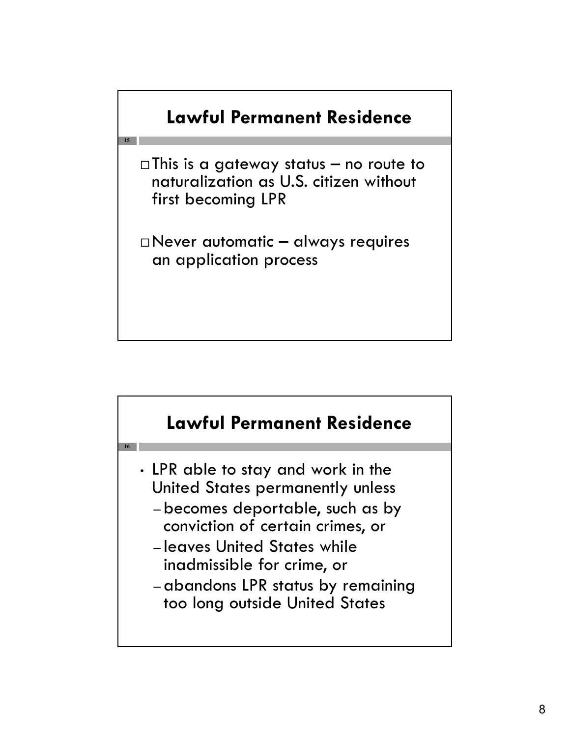

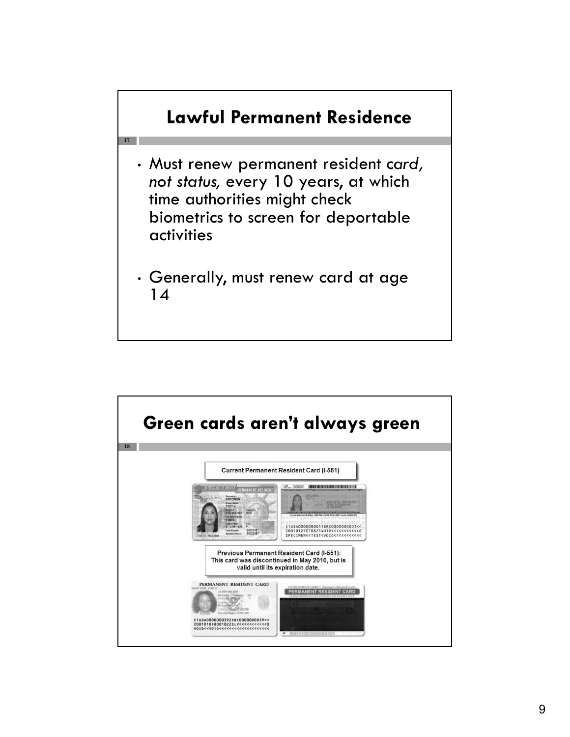

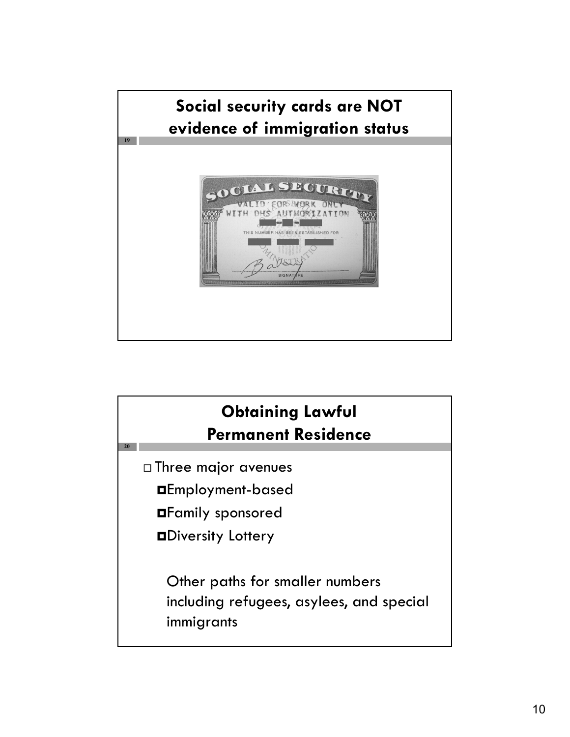

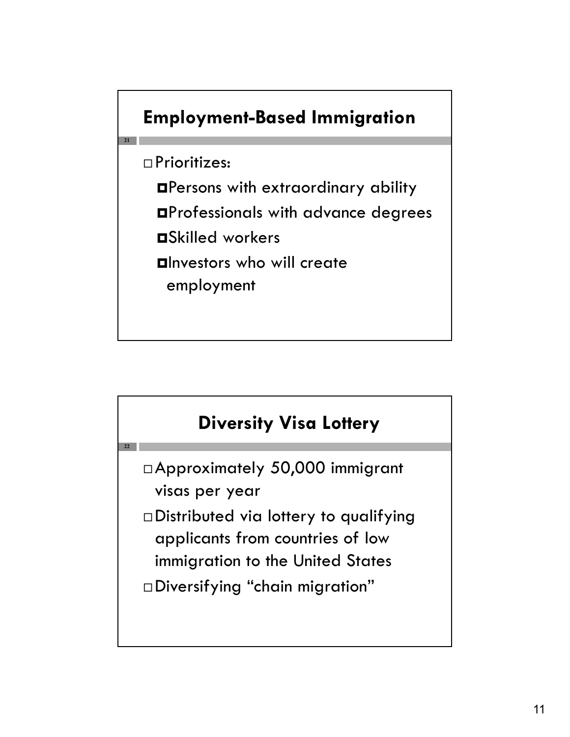

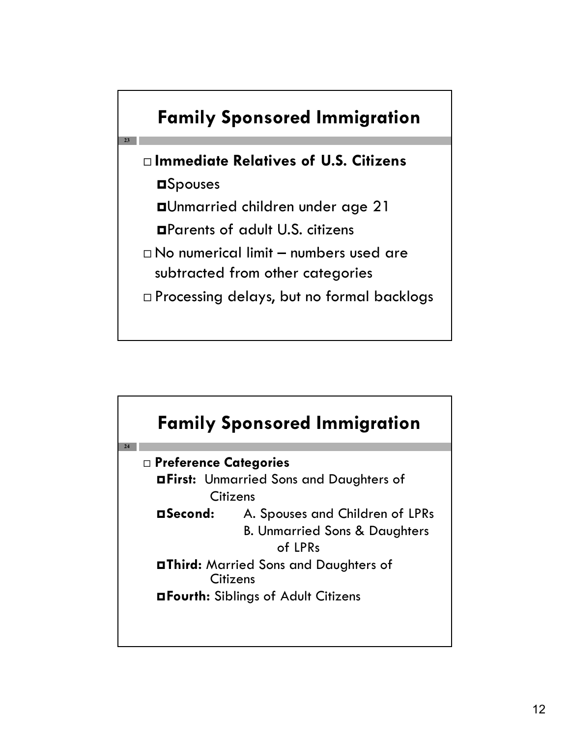

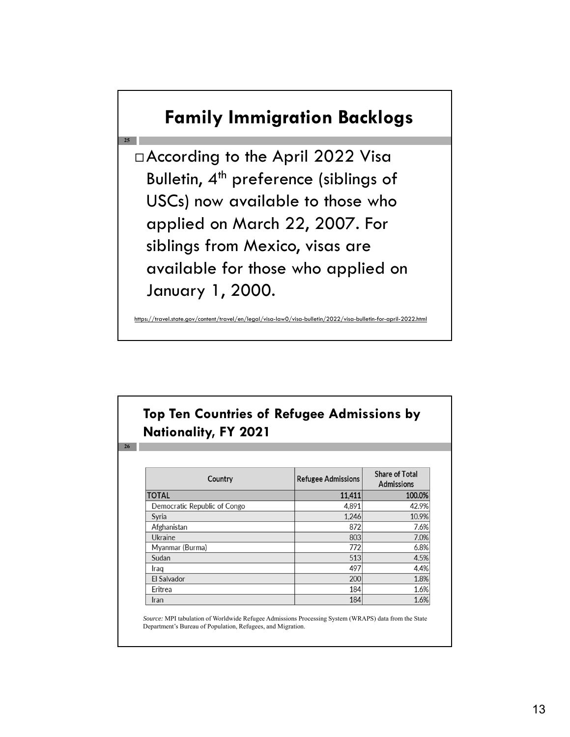#### **Family Immigration Backlogs**

 According to the April 2022 Visa Bulletin,  $4<sup>th</sup>$  preference (siblings of USCs) now available to those who applied on March 22, 2007. For siblings from Mexico, visas are available for those who applied on January 1, 2000.

**25**

**26**

https://tegal/visa-law0/visa-bulletin/2022/visa-bulletin-for-april-2022.html

#### **Top Ten Countries of Refugee Admissions by Nationality, FY 2021**

| Country                      | <b>Refugee Admissions</b> | <b>Share of Total</b><br><b>Admissions</b> |
|------------------------------|---------------------------|--------------------------------------------|
| <b>TOTAL</b>                 | 11,411                    | 100.0%                                     |
| Democratic Republic of Congo | 4,891                     | 42.9%                                      |
| Syria                        | 1,246                     | 10.9%                                      |
| Afghanistan                  | 872                       | 7.6%                                       |
| Ukraine                      | 803                       | 7.0%                                       |
| Myanmar (Burma)              | 772                       | 6.8%                                       |
| Sudan                        | 513                       | 4.5%                                       |
| Iraq                         | 497                       | 4.4%                                       |
| El Salvador                  | 200                       | 1.8%                                       |
| Eritrea                      | 184                       | 1.6%                                       |
| Iran                         | 184                       | 1.6%                                       |

*Source:* MPI tabulation of Worldwide Refugee Admissions Processing System (WRAPS) data from the State Department's Bureau of Population, Refugees, and Migration.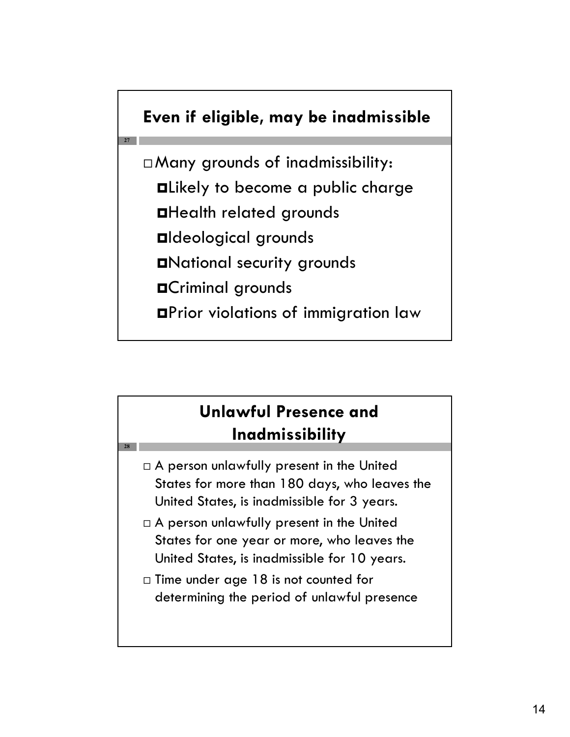#### **Even if eligible, may be inadmissible**

**27**

**28**

 Many grounds of inadmissibility: Likely to become a public charge Health related grounds Ideological grounds National security grounds Criminal grounds Prior violations of immigration law

#### **Unlawful Presence and Inadmissibility**

- $\Box$  A person unlawfully present in the United States for more than 180 days, who leaves the United States, is inadmissible for 3 years.
- $\Box$  A person unlawfully present in the United States for one year or more, who leaves the United States, is inadmissible for 10 years.
- $\Box$  Time under age 18 is not counted for determining the period of unlawful presence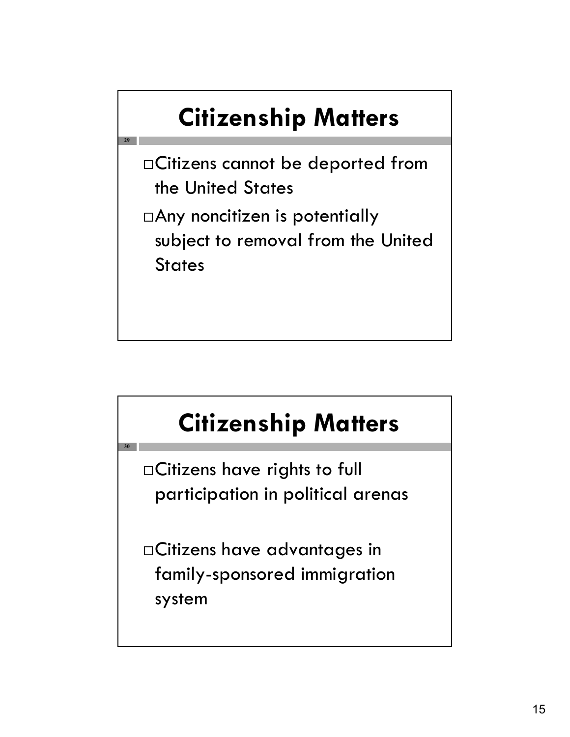# **Citizenship Matters**

Citizens cannot be deported from the United States

**29**

**30**

Any noncitizen is potentially subject to removal from the United **States** 

# **Citizenship Matters**

Citizens have rights to full participation in political arenas

Citizens have advantages in family-sponsored immigration system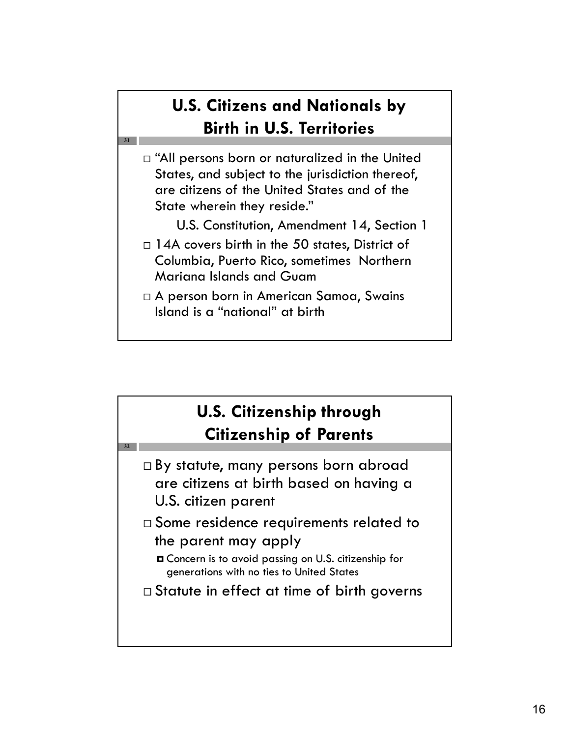#### **U.S. Citizens and Nationals by Birth in U.S. Territories**

 $\Box$  "All persons born or naturalized in the United States, and subject to the jurisdiction thereof, are citizens of the United States and of the State wherein they reside."

**31**

**32**

- U.S. Constitution, Amendment 14, Section 1
- □ 14A covers birth in the 50 states, District of Columbia, Puerto Rico, sometimes Northern Mariana Islands and Guam
- A person born in American Samoa, Swains Island is a "national" at birth



- $\Box$  By statute, many persons born abroad are citizens at birth based on having a U.S. citizen parent
- Some residence requirements related to the parent may apply
	- Concern is to avoid passing on U.S. citizenship for generations with no ties to United States
- □ Statute in effect at time of birth governs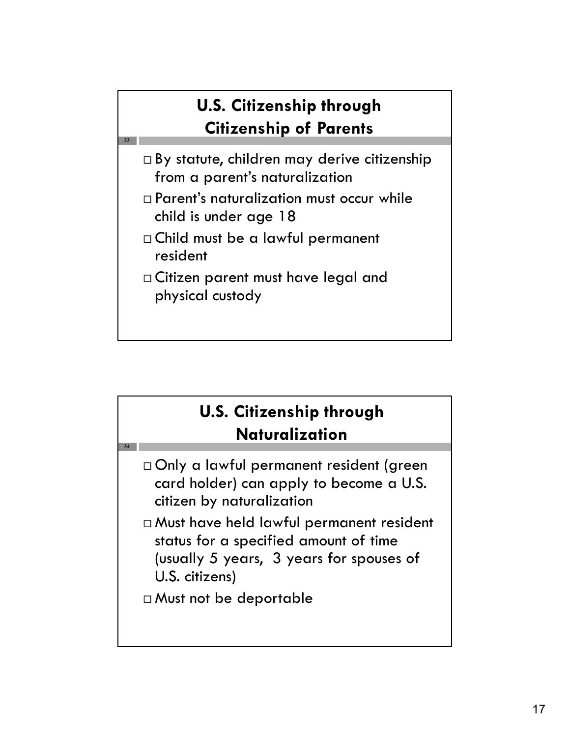#### **U.S. Citizenship through Citizenship of Parents**

- □ By statute, children may derive citizenship from a parent's naturalization
- Parent's naturalization must occur while child is under age 18
- Child must be a lawful permanent resident

**33**

**34**

 Citizen parent must have legal and physical custody

## **U.S. Citizenship through Naturalization**

- Only a lawful permanent resident (green card holder) can apply to become a U.S. citizen by naturalization
- Must have held lawful permanent resident status for a specified amount of time (usually 5 years, 3 years for spouses of U.S. citizens)
- Must not be deportable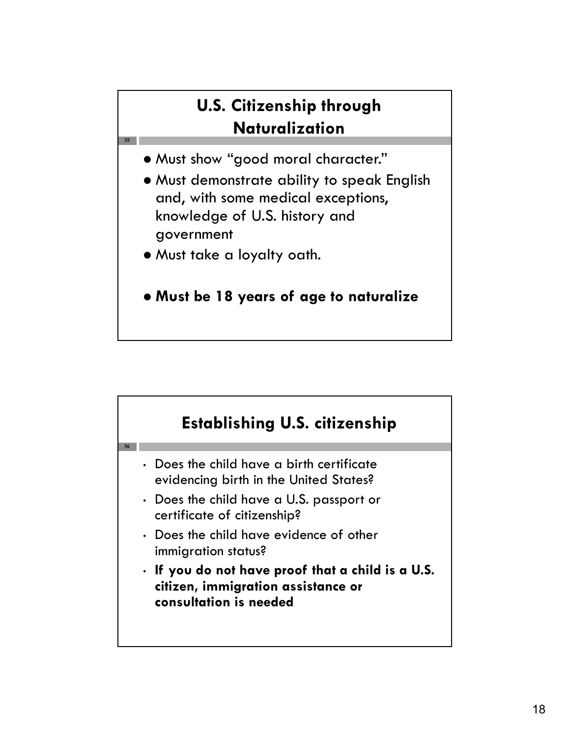#### **U.S. Citizenship through Naturalization**

- Must show "good moral character."
- Must demonstrate ability to speak English and, with some medical exceptions, knowledge of U.S. history and government
- Must take a loyalty oath.

**35**

**Must be 18 years of age to naturalize**

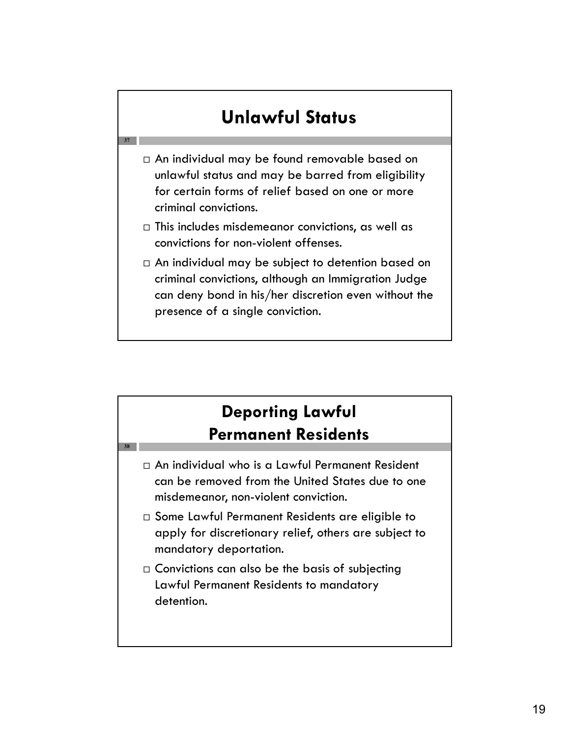## **Unlawful Status**

**37**

**38**

- An individual may be found removable based on unlawful status and may be barred from eligibility for certain forms of relief based on one or more criminal convictions.
- $\Box$  This includes misdemeanor convictions, as well as convictions for non-violent offenses.
- $\Box$  An individual may be subject to detention based on criminal convictions, although an Immigration Judge can deny bond in his/her discretion even without the presence of a single conviction.

#### **Deporting Lawful Permanent Residents**

- An individual who is a Lawful Permanent Resident can be removed from the United States due to one misdemeanor, non-violent conviction.
- □ Some Lawful Permanent Residents are eligible to apply for discretionary relief, others are subject to mandatory deportation.
- $\Box$  Convictions can also be the basis of subjecting Lawful Permanent Residents to mandatory detention.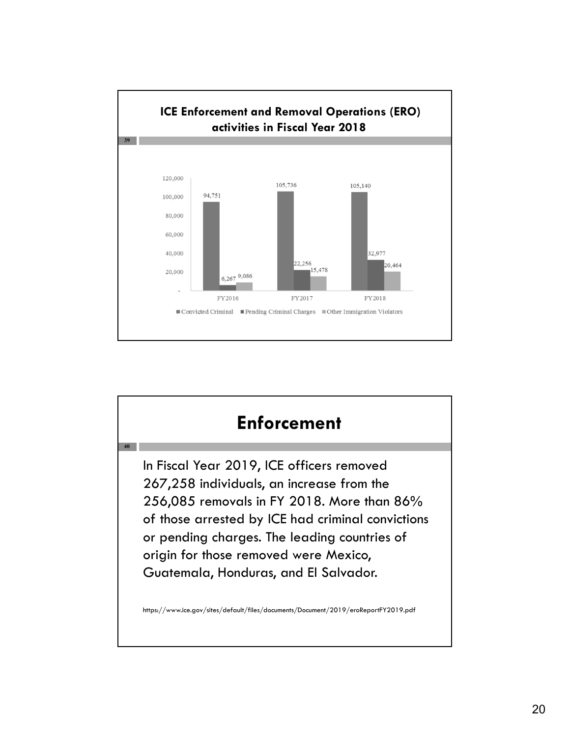

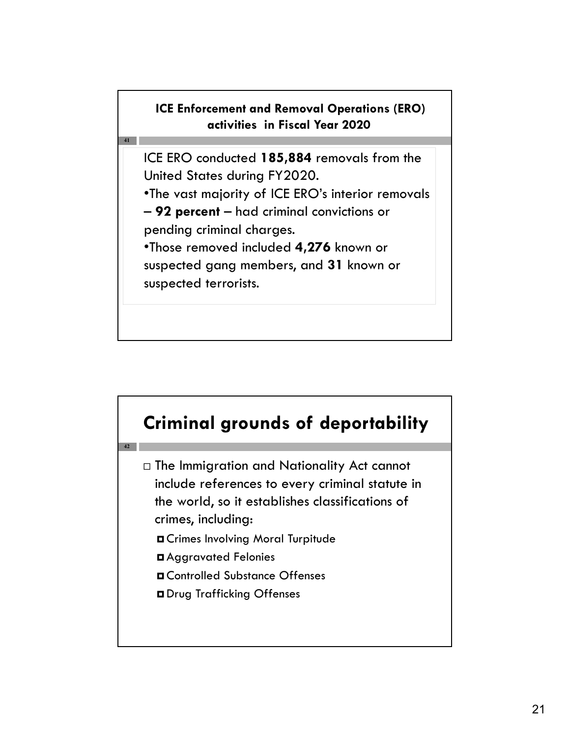#### **ICE Enforcement and Removal Operations (ERO) activities in Fiscal Year 2020**

ICE ERO conducted **185,884** removals from the United States during FY2020.

•The vast majority of ICE ERO's interior removals

– **92 percent** – had criminal convictions or pending criminal charges.

**41**

**42**

•Those removed included **4,276** known or suspected gang members, and **31** known or suspected terrorists.



- The Immigration and Nationality Act cannot include references to every criminal statute in the world, so it establishes classifications of crimes, including:
	- Crimes Involving Moral Turpitude
	- Aggravated Felonies
	- Controlled Substance Offenses
	- Drug Trafficking Offenses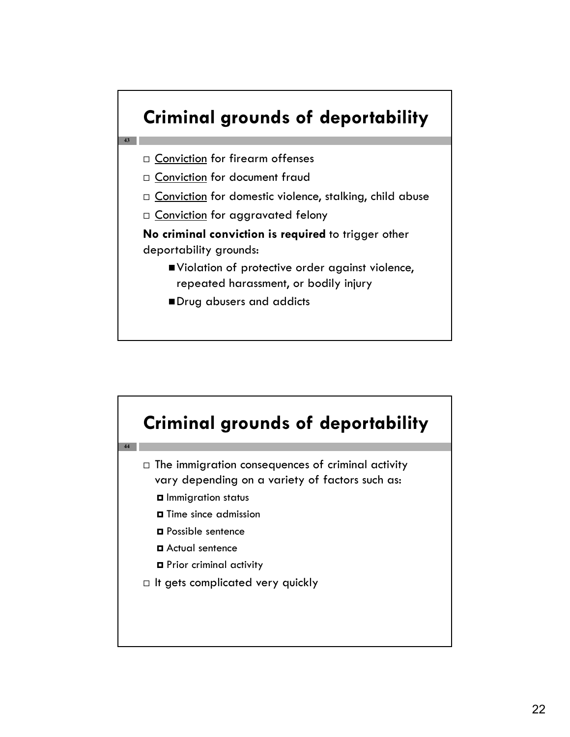

- $\square$  Conviction for document fraud
- $\Box$  Conviction for domestic violence, stalking, child abuse
- $\Box$  Conviction for aggravated felony

**No criminal conviction is required** to trigger other deportability grounds:

- Violation of protective order against violence, repeated harassment, or bodily injury
- Drug abusers and addicts

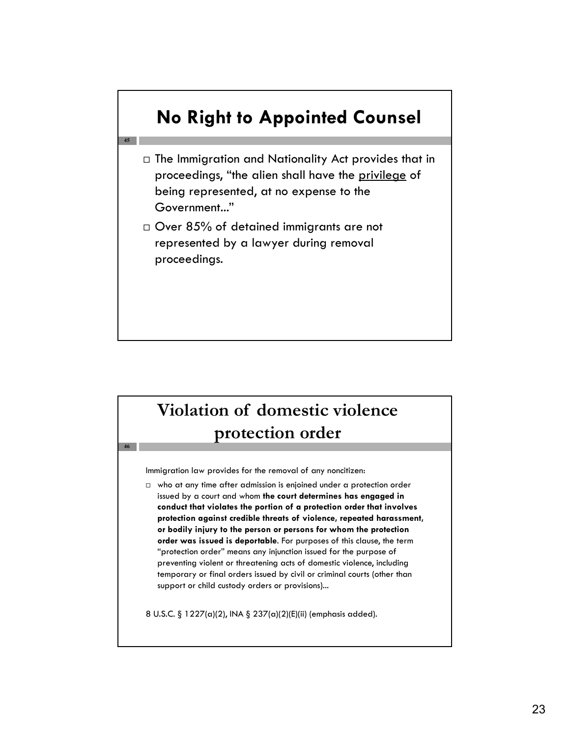

#### **Violation of domestic violence protection order**

Immigration law provides for the removal of any noncitizen:

**46**

 $\Box$  who at any time after admission is enjoined under a protection order issued by a court and whom **the court determines has engaged in conduct that violates the portion of a protection order that involves protection against credible threats of violence, repeated harassment, or bodily injury to the person or persons for whom the protection order was issued is deportable**. For purposes of this clause, the term "protection order" means any injunction issued for the purpose of preventing violent or threatening acts of domestic violence, including temporary or final orders issued by civil or criminal courts (other than support or child custody orders or provisions)...

8 U.S.C. § 1227(a)(2), INA § 237(a)(2)(E)(ii) (emphasis added).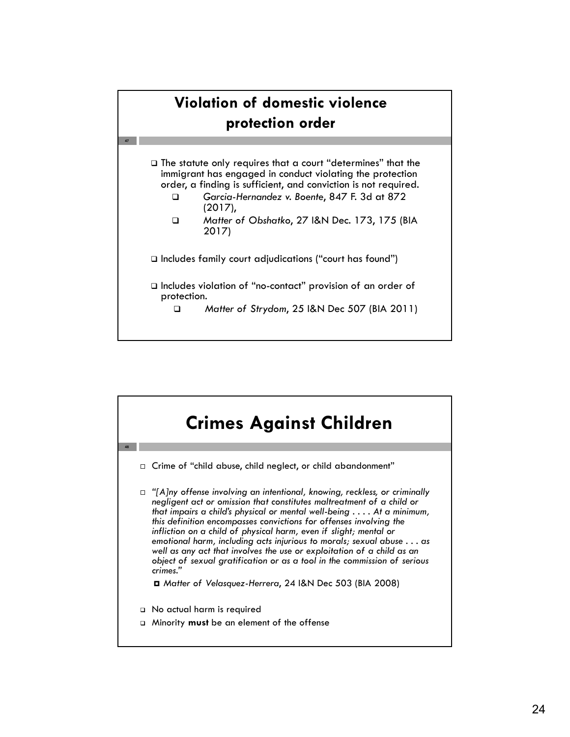#### **Violation of domestic violence protection order**

**47**

 The statute only requires that a court "determines" that the immigrant has engaged in conduct violating the protection order, a finding is sufficient, and conviction is not required.

- *Garcia-Hernandez v. Boente*, 847 F. 3d at 872 (2017),
- *Matter of Obshatko*, 27 I&N Dec. 173, 175 (BIA 2017)

Includes family court adjudications ("court has found")

 Includes violation of "no-contact" provision of an order of protection.

*Matter of Strydom*, 25 I&N Dec 507 (BIA 2011)

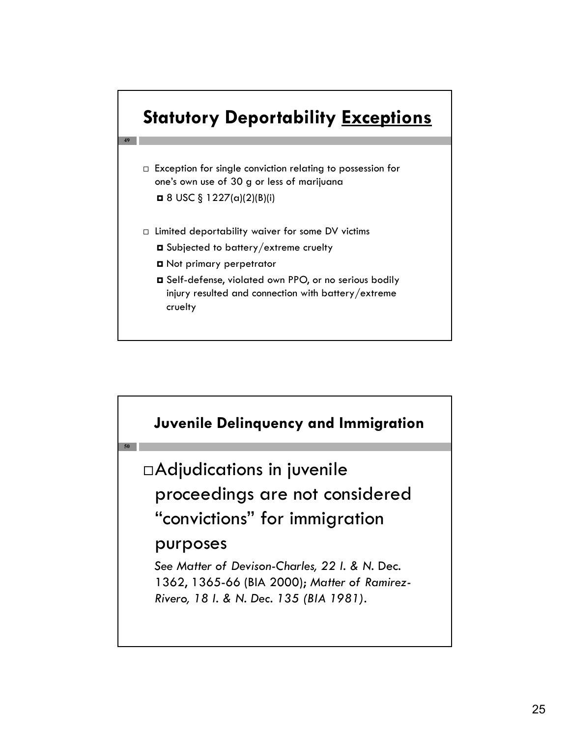

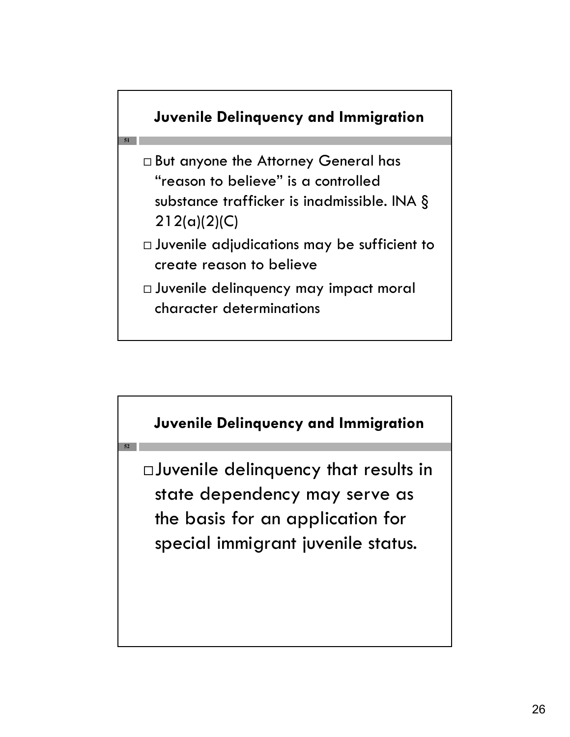

**51**

**52**

- But anyone the Attorney General has "reason to believe" is a controlled substance trafficker is inadmissible. INA § 212(a)(2)(C)
- Juvenile adjudications may be sufficient to create reason to believe
- Juvenile delinquency may impact moral character determinations



the basis for an application for special immigrant juvenile status.